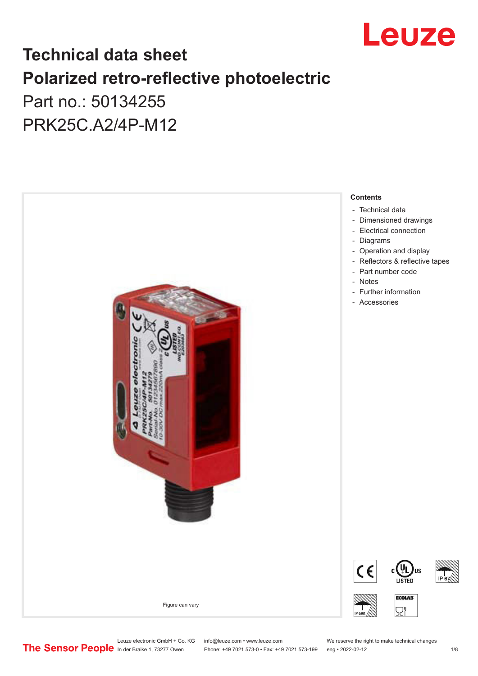

## **Technical data sheet Polarized retro-reflective photoelectric**  Part no.: 50134255

PRK25C.A2/4P-M12



Leuze electronic GmbH + Co. KG info@leuze.com • www.leuze.com We reserve the right to make technical changes<br>
The Sensor People in der Braike 1, 73277 Owen Phone: +49 7021 573-0 • Fax: +49 7021 573-199 eng • 2022-02-12

Phone: +49 7021 573-0 • Fax: +49 7021 573-199 eng • 2022-02-12 12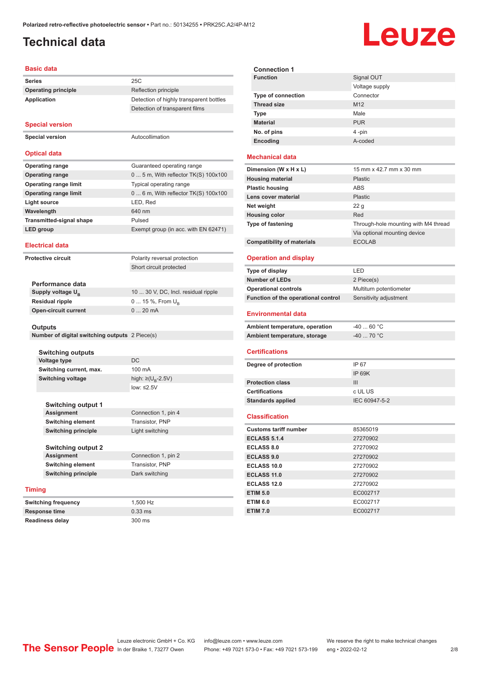### <span id="page-1-0"></span>**Technical data**

# Leuze

#### **Basic data**

| <b>Series</b>                                  | 25C                                                     |
|------------------------------------------------|---------------------------------------------------------|
| <b>Operating principle</b>                     | Reflection principle                                    |
| <b>Application</b>                             | Detection of highly transparent bottles                 |
|                                                | Detection of transparent films                          |
|                                                |                                                         |
| <b>Special version</b>                         |                                                         |
| <b>Special version</b>                         | Autocollimation                                         |
|                                                |                                                         |
| <b>Optical data</b>                            |                                                         |
| <b>Operating range</b>                         | Guaranteed operating range                              |
| <b>Operating range</b>                         | 0  5 m, With reflector TK(S) 100x100                    |
| <b>Operating range limit</b>                   | Typical operating range                                 |
| <b>Operating range limit</b>                   | 0  6 m, With reflector TK(S) 100x100                    |
| <b>Light source</b>                            | LED, Red                                                |
| Wavelength                                     | 640 nm                                                  |
|                                                |                                                         |
| <b>Transmitted-signal shape</b>                | Pulsed                                                  |
| <b>LED</b> group                               | Exempt group (in acc. with EN 62471)                    |
| <b>Electrical data</b>                         |                                                         |
| <b>Protective circuit</b>                      |                                                         |
|                                                | Polarity reversal protection<br>Short circuit protected |
|                                                |                                                         |
| Performance data                               |                                                         |
| Supply voltage U <sub>B</sub>                  | 10  30 V, DC, Incl. residual ripple                     |
| <b>Residual ripple</b>                         | 0  15 %, From $U_{\rm B}$                               |
| <b>Open-circuit current</b>                    | 020mA                                                   |
|                                                |                                                         |
| Outputs                                        |                                                         |
| Number of digital switching outputs 2 Piece(s) |                                                         |
|                                                |                                                         |
| <b>Switching outputs</b><br>Voltage type       | <b>DC</b>                                               |
| Switching current, max.                        | 100 mA                                                  |

|               | <b>Switching output 1</b>  |                     |
|---------------|----------------------------|---------------------|
|               | <b>Assignment</b>          | Connection 1, pin 4 |
|               | <b>Switching element</b>   | Transistor, PNP     |
|               | <b>Switching principle</b> | Light switching     |
|               |                            |                     |
|               | <b>Switching output 2</b>  |                     |
|               | <b>Assignment</b>          | Connection 1, pin 2 |
|               | <b>Switching element</b>   | Transistor, PNP     |
|               | <b>Switching principle</b> | Dark switching      |
|               |                            |                     |
| <b>Timing</b> |                            |                     |
|               | <b>Switching frequency</b> | 1.500 Hz            |

low: ≤2.5V

**Response time** 0.33 ms **Readiness delay** 300 ms



#### **Mechanical data**

| Dimension (W x H x L)             | 15 mm x 42.7 mm x 30 mm              |
|-----------------------------------|--------------------------------------|
| <b>Housing material</b>           | <b>Plastic</b>                       |
| <b>Plastic housing</b>            | <b>ABS</b>                           |
| Lens cover material               | <b>Plastic</b>                       |
| Net weight                        | 22q                                  |
| <b>Housing color</b>              | Red                                  |
| <b>Type of fastening</b>          | Through-hole mounting with M4 thread |
|                                   | Via optional mounting device         |
| <b>Compatibility of materials</b> | <b>ECOLAB</b>                        |

#### **Operation and display**

| Type of display                     | I FD                    |
|-------------------------------------|-------------------------|
| <b>Number of LEDs</b>               | 2 Piece(s)              |
| <b>Operational controls</b>         | Multiturn potentiometer |
| Function of the operational control | Sensitivity adjustment  |
| <b>Environmental data</b>           |                         |
|                                     |                         |
| Ambient temperature, operation      | $-4060 °C$              |
| Ambient temperature, storage        | $-40$ 70 °C             |

#### **Certifications**

| Degree of protection     | IP 67         |
|--------------------------|---------------|
|                          | IP 69K        |
| <b>Protection class</b>  | Ш             |
| <b>Certifications</b>    | c UL US       |
| <b>Standards applied</b> | IEC 60947-5-2 |
|                          |               |

#### **Classification**

| <b>Customs tariff number</b> | 85365019 |
|------------------------------|----------|
| <b>ECLASS 5.1.4</b>          | 27270902 |
| <b>ECLASS 8.0</b>            | 27270902 |
| <b>ECLASS 9.0</b>            | 27270902 |
| ECLASS 10.0                  | 27270902 |
| <b>ECLASS 11.0</b>           | 27270902 |
| ECLASS 12.0                  | 27270902 |
| <b>ETIM 5.0</b>              | EC002717 |
| <b>ETIM 6.0</b>              | EC002717 |
| <b>ETIM 7.0</b>              | EC002717 |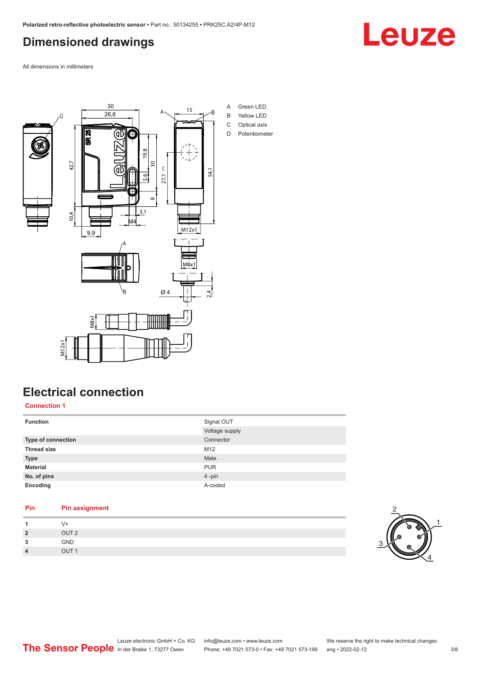### <span id="page-2-0"></span>**Dimensioned drawings**

Leuze

All dimensions in millimeters



## **Electrical connection**

**Connection 1**

| <b>Function</b>           | Signal OUT     |
|---------------------------|----------------|
|                           | Voltage supply |
| <b>Type of connection</b> | Connector      |
| <b>Thread size</b>        | M12            |
| <b>Type</b>               | Male           |
| <b>Material</b>           | <b>PUR</b>     |
| No. of pins               | 4-pin          |
| Encoding                  | A-coded        |
|                           |                |

#### **Pin Pin assignment** 1 V+<br>2 OU **2** OUT 2 **3** GND



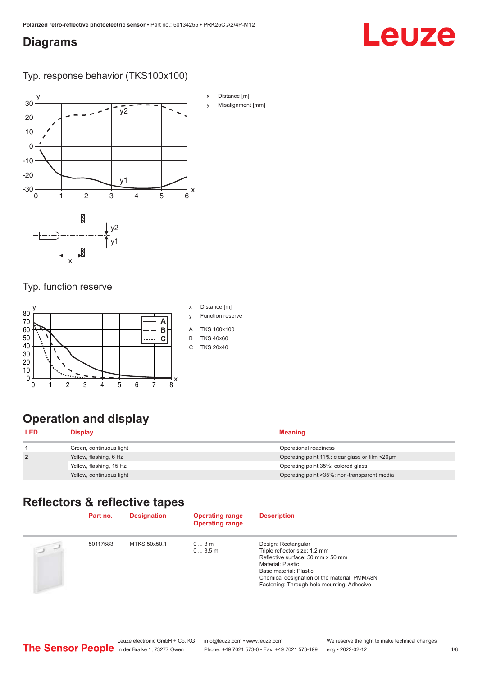#### <span id="page-3-0"></span>**Diagrams**

# Leuze

Typ. response behavior (TKS100x100)



#### Typ. function reserve



#### x Distance [m]

- y Function reserve
- A TKS 100x100
- B TKS 40x60
- C TKS 20x40

## **Operation and display**

| <b>LED</b>     | Display                  | <b>Meaning</b>                                 |
|----------------|--------------------------|------------------------------------------------|
|                | Green, continuous light  | Operational readiness                          |
| $\overline{2}$ | Yellow, flashing, 6 Hz   | Operating point 11%: clear glass or film <20um |
|                | Yellow, flashing, 15 Hz  | Operating point 35%: colored glass             |
|                | Yellow, continuous light | Operating point > 35%: non-transparent media   |

#### **Reflectors & reflective tapes**

| Part no. | <b>Designation</b> | <b>Operating range</b><br><b>Operating range</b> | <b>Description</b>                                                                                                                                                                                                                     |
|----------|--------------------|--------------------------------------------------|----------------------------------------------------------------------------------------------------------------------------------------------------------------------------------------------------------------------------------------|
| 50117583 | MTKS 50x50.1       | 03m<br>03.5m                                     | Design: Rectangular<br>Triple reflector size: 1.2 mm<br>Reflective surface: 50 mm x 50 mm<br>Material: Plastic<br>Base material: Plastic<br>Chemical designation of the material: PMMA8N<br>Fastening: Through-hole mounting, Adhesive |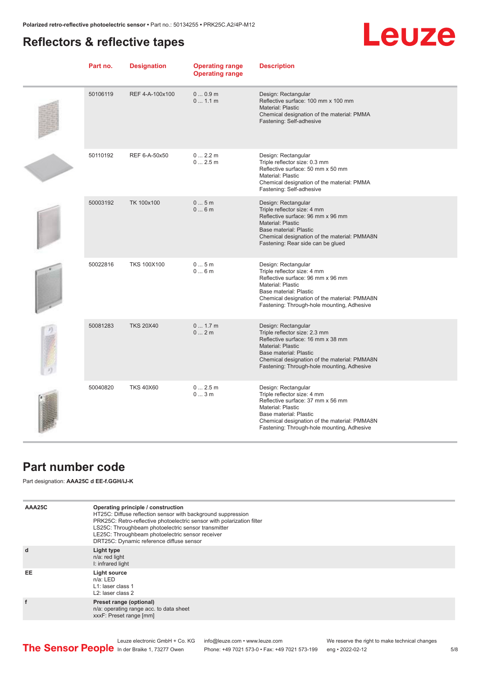## <span id="page-4-0"></span>**Reflectors & reflective tapes**

## Leuze

| Part no. | <b>Designation</b> | <b>Operating range</b><br><b>Operating range</b> | <b>Description</b>                                                                                                                                                                                                                                   |
|----------|--------------------|--------------------------------------------------|------------------------------------------------------------------------------------------------------------------------------------------------------------------------------------------------------------------------------------------------------|
| 50106119 | REF 4-A-100x100    | 00.9m<br>01.1 m                                  | Design: Rectangular<br>Reflective surface: 100 mm x 100 mm<br>Material: Plastic<br>Chemical designation of the material: PMMA<br>Fastening: Self-adhesive                                                                                            |
| 50110192 | REF 6-A-50x50      | 0 2.2 m<br>02.5m                                 | Design: Rectangular<br>Triple reflector size: 0.3 mm<br>Reflective surface: 50 mm x 50 mm<br>Material: Plastic<br>Chemical designation of the material: PMMA<br>Fastening: Self-adhesive                                                             |
| 50003192 | TK 100x100         | 05m<br>06m                                       | Design: Rectangular<br>Triple reflector size: 4 mm<br>Reflective surface: 96 mm x 96 mm<br>Material: Plastic<br><b>Base material: Plastic</b><br>Chemical designation of the material: PMMA8N<br>Fastening: Rear side can be glued                   |
| 50022816 | <b>TKS 100X100</b> | 05m<br>06m                                       | Design: Rectangular<br>Triple reflector size: 4 mm<br>Reflective surface: 96 mm x 96 mm<br>Material: Plastic<br>Base material: Plastic<br>Chemical designation of the material: PMMA8N<br>Fastening: Through-hole mounting, Adhesive                 |
| 50081283 | <b>TKS 20X40</b>   | 0 1.7 m<br>02m                                   | Design: Rectangular<br>Triple reflector size: 2.3 mm<br>Reflective surface: 16 mm x 38 mm<br><b>Material: Plastic</b><br><b>Base material: Plastic</b><br>Chemical designation of the material: PMMA8N<br>Fastening: Through-hole mounting, Adhesive |
| 50040820 | <b>TKS 40X60</b>   | 02.5m<br>03m                                     | Design: Rectangular<br>Triple reflector size: 4 mm<br>Reflective surface: 37 mm x 56 mm<br>Material: Plastic<br>Base material: Plastic<br>Chemical designation of the material: PMMA8N<br>Fastening: Through-hole mounting, Adhesive                 |

## **Part number code**

Part designation: **AAA25C d EE-f.GGH/iJ-K**

| AAA25C | Operating principle / construction<br>HT25C: Diffuse reflection sensor with background suppression<br>PRK25C: Retro-reflective photoelectric sensor with polarization filter<br>LS25C: Throughbeam photoelectric sensor transmitter<br>LE25C: Throughbeam photoelectric sensor receiver<br>DRT25C: Dynamic reference diffuse sensor |
|--------|-------------------------------------------------------------------------------------------------------------------------------------------------------------------------------------------------------------------------------------------------------------------------------------------------------------------------------------|
| d      | Light type<br>n/a: red light<br>I: infrared light                                                                                                                                                                                                                                                                                   |
| EE     | Light source<br>$n/a$ : LED<br>L1: laser class 1<br>L <sub>2</sub> : laser class 2                                                                                                                                                                                                                                                  |
|        | Preset range (optional)<br>n/a: operating range acc. to data sheet<br>xxxF: Preset range [mm]                                                                                                                                                                                                                                       |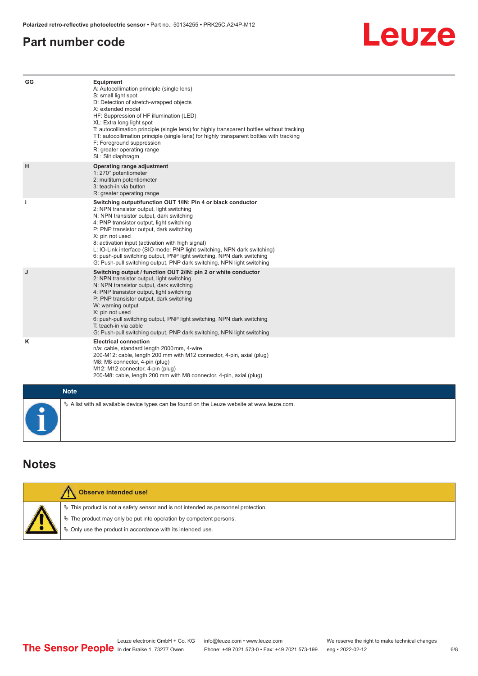#### <span id="page-5-0"></span>**Part number code**



| GG        | Equipment<br>A: Autocollimation principle (single lens)<br>S: small light spot<br>D: Detection of stretch-wrapped objects<br>X: extended model<br>HF: Suppression of HF illumination (LED)<br>XL: Extra long light spot<br>T: autocollimation principle (single lens) for highly transparent bottles without tracking<br>TT: autocollimation principle (single lens) for highly transparent bottles with tracking<br>F: Foreground suppression<br>R: greater operating range<br>SL: Slit diaphragm                                                     |
|-----------|--------------------------------------------------------------------------------------------------------------------------------------------------------------------------------------------------------------------------------------------------------------------------------------------------------------------------------------------------------------------------------------------------------------------------------------------------------------------------------------------------------------------------------------------------------|
| H         | Operating range adjustment<br>1: 270° potentiometer<br>2: multiturn potentiometer<br>3: teach-in via button<br>R: greater operating range                                                                                                                                                                                                                                                                                                                                                                                                              |
| j.        | Switching output/function OUT 1/IN: Pin 4 or black conductor<br>2: NPN transistor output, light switching<br>N: NPN transistor output, dark switching<br>4: PNP transistor output, light switching<br>P: PNP transistor output, dark switching<br>X: pin not used<br>8: activation input (activation with high signal)<br>L: IO-Link interface (SIO mode: PNP light switching, NPN dark switching)<br>6: push-pull switching output, PNP light switching, NPN dark switching<br>G: Push-pull switching output, PNP dark switching, NPN light switching |
| J         | Switching output / function OUT 2/IN: pin 2 or white conductor<br>2: NPN transistor output, light switching<br>N: NPN transistor output, dark switching<br>4: PNP transistor output, light switching<br>P: PNP transistor output, dark switching<br>W: warning output<br>X: pin not used<br>6: push-pull switching output, PNP light switching, NPN dark switching<br>T: teach-in via cable<br>G: Push-pull switching output, PNP dark switching, NPN light switching                                                                                  |
| Κ         | <b>Electrical connection</b><br>n/a: cable, standard length 2000 mm, 4-wire<br>200-M12: cable, length 200 mm with M12 connector, 4-pin, axial (plug)<br>M8: M8 connector, 4-pin (plug)<br>M12: M12 connector, 4-pin (plug)<br>200-M8: cable, length 200 mm with M8 connector, 4-pin, axial (plug)                                                                                                                                                                                                                                                      |
|           | <b>Note</b>                                                                                                                                                                                                                                                                                                                                                                                                                                                                                                                                            |
| $\bullet$ | $\&$ A list with all available device types can be found on the Leuze website at www.leuze.com.                                                                                                                                                                                                                                                                                                                                                                                                                                                        |

## **Notes**

|  | <b>Observe intended use!</b>                                                          |
|--|---------------------------------------------------------------------------------------|
|  | $\%$ This product is not a safety sensor and is not intended as personnel protection. |
|  | ₹ The product may only be put into operation by competent persons.                    |
|  | ₿ Only use the product in accordance with its intended use.                           |
|  |                                                                                       |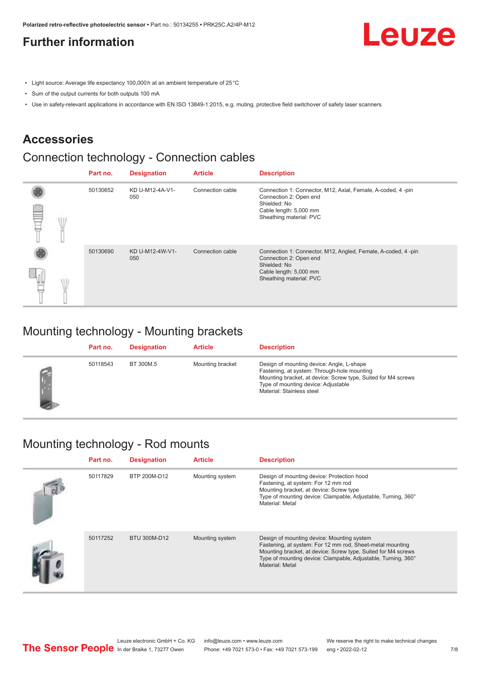### <span id="page-6-0"></span>**Further information**

Leuze

- Light source: Average life expectancy 100,000 h at an ambient temperature of 25 °C
- Sum of the output currents for both outputs 100 mA
- Use in safety-relevant applications in accordance with EN ISO 13849-1:2015, e.g. muting, protective field switchover of safety laser scanners

#### **Accessories**

### Connection technology - Connection cables

|   | Part no. | <b>Designation</b>     | <b>Article</b>   | <b>Description</b>                                                                                                                                          |
|---|----------|------------------------|------------------|-------------------------------------------------------------------------------------------------------------------------------------------------------------|
| œ | 50130652 | KD U-M12-4A-V1-<br>050 | Connection cable | Connection 1: Connector, M12, Axial, Female, A-coded, 4-pin<br>Connection 2: Open end<br>Shielded: No<br>Cable length: 5,000 mm<br>Sheathing material: PVC  |
|   | 50130690 | KD U-M12-4W-V1-<br>050 | Connection cable | Connection 1: Connector, M12, Angled, Female, A-coded, 4-pin<br>Connection 2: Open end<br>Shielded: No<br>Cable length: 5,000 mm<br>Sheathing material: PVC |

#### Mounting technology - Mounting brackets

| Part no. | <b>Designation</b> | <b>Article</b>   | <b>Description</b>                                                                                                                                                                                                            |
|----------|--------------------|------------------|-------------------------------------------------------------------------------------------------------------------------------------------------------------------------------------------------------------------------------|
| 50118543 | BT 300M.5          | Mounting bracket | Design of mounting device: Angle, L-shape<br>Fastening, at system: Through-hole mounting<br>Mounting bracket, at device: Screw type, Suited for M4 screws<br>Type of mounting device: Adjustable<br>Material: Stainless steel |

#### Mounting technology - Rod mounts

| Part no. | <b>Designation</b> | <b>Article</b>  | <b>Description</b>                                                                                                                                                                                                                                           |
|----------|--------------------|-----------------|--------------------------------------------------------------------------------------------------------------------------------------------------------------------------------------------------------------------------------------------------------------|
| 50117829 | BTP 200M-D12       | Mounting system | Design of mounting device: Protection hood<br>Fastening, at system: For 12 mm rod<br>Mounting bracket, at device: Screw type<br>Type of mounting device: Clampable, Adjustable, Turning, 360°<br>Material: Metal                                             |
| 50117252 | BTU 300M-D12       | Mounting system | Design of mounting device: Mounting system<br>Fastening, at system: For 12 mm rod, Sheet-metal mounting<br>Mounting bracket, at device: Screw type, Suited for M4 screws<br>Type of mounting device: Clampable, Adjustable, Turning, 360°<br>Material: Metal |